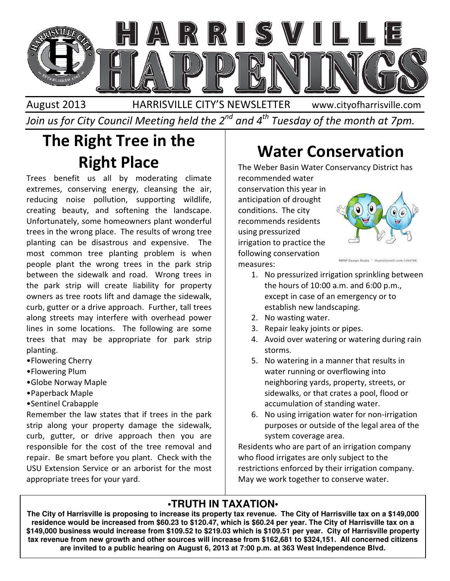

August 2013 HARRISVILLE CITY'S NEWSLETTER Join us for City Council Meeting held the 2 $^{\mathit{nd}}$  and 4 $^{\mathit{th}}$  Tuesday of the month at 7pm. www.cityofharrisville.com

# The Right Tree in the Right Place

Trees benefit us all by moderating climate extremes, conserving energy, cleansing the air, reducing noise pollution, supporting wildlife, creating beauty, and softening the landscape. Unfortunately, some homeowners plant wonderful trees in the wrong place. The results of wrong tree planting can be disastrous and expensive. The most common tree planting problem is when people plant the wrong trees in the park strip between the sidewalk and road. Wrong trees in the park strip will create liability for property owners as tree roots lift and damage the sidewalk, curb, gutter or a drive approach. Further, tall trees along streets may interfere with overhead power lines in some locations. The following are some trees that may be appropriate for park strip planting. Trees beauty and the **Conservation**<br>
Trees benefit us all by moderating climate recommended water conservation in the security of the and will tree trees people plant to discuss and experiment and will tree in the word pla

- •Flowering Cherry
- •Flowering Plum
- •Globe Norway Maple
- •Paperback Maple
- •Sentinel Crabapple

Remember the law states that if trees in the park strip along your property damage the sidewalk, curb, gutter, or drive approach then you are responsible for the cost of the tree removal and repair. Be smart before you plant. Check with the USU Extension Service or an arborist for the most appropriate trees for your yard.

The Weber Basin Water Conservancy District has recommended water

conservation this year in anticipation of drought conditions. The city recommends residents using pressurized irrigation to practice the following conservation measures:



- 
- 1. No pressurized irrigation sprinkling between the hours of 10:00 a.m. and 6:00 p.m., except in case of an emergency or to except in case of an emerge<br>establish new landscaping.
- 2. No wasting water.
- 3. Repair leaky joints or pipes.
- 4. Avoid over watering or watering during rain storms.
- 5. No watering in a manner that results in water running or overflowing into neighboring yards, property, streets, or sidewalks, or that crates a pool, accumulation of standing water. joints or pipes.<br>
vatering or watering during rain<br>
in a manner that results in<br>
g or overflowing into<br>
yards, property, streets, or<br>
that crates a pool, flood or
- 6. No using irrigation water for non-irrigation purposes or outside of the legal area of the system coverage area.

Residents who are part of an irrigation company who flood irrigates are only subject to the restrictions enforced by their irrigation company. May we work together to conserve water. purposes or outside of the legal area of th<br>system coverage area.<br>lents who are part of an irrigation company<br>flood irrigates are only subject to the<br>ictions enforced by their irrigation company<br>we work together to conserv

### **•TRUTH IN TAXATION•**

The City of Harrisville is proposing to increase its property tax revenue. The City of Harrisville tax on a \$149,000 **residence would be increased from \$60.23 to \$120.47, which is \$60.24 per year. The City of Harrisville tax on a**  The City of Harrisville is proposing to increase its property tax revenue. The City of Harrisville tax on a \$149,000<br>Tesidence would be increased from \$60.23 to \$120.47, which is \$60.24 per year. The City of Harrisville t **tax revenue from new growth and other sources will increase from \$162,681 to \$324,151. All concerned citizens citizens**  are invited to a public hearing on August 6, 2013 at 7:00 p.m. at 363 West Independence Blvd.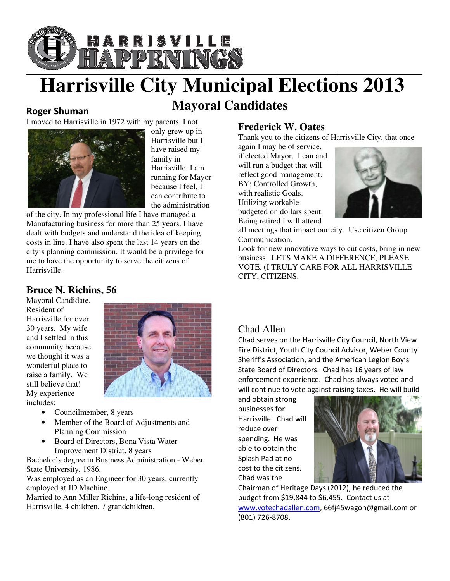

## **Harrisville City Municipal Elections 2013 Elections 2013 Mayoral Candidates**

#### Roger Shuman



only grew up in Harrisville but I have raised my family in Harrisville. I am running for Mayor because I feel, I can contribute to the administration

of the city. In my professional life I have managed a Manufacturing business for more than 25 years. I have dealt with budgets and understand the idea of keeping costs in line. I have also spent the last 14 years on the city's planning commission. It would be a privilege for me to have the opportunity to serve the citizens of Harrisville. because I feel, I<br>can contribute to<br>the administration<br>nufacturing business for more than 25 years. I have<br>lt with budgets and understand the idea of keeping<br>its in line. I have also spent the last 14 years on the<br>'s plann

#### **Bruce N. Richins, 56**

Mayoral Candidate. Resident of Harrisville for over 30 years. My wife and I settled in this community because we thought it was a wonderful place to raise a family. We still believe that! My experience includes:



- Councilmember, 8 years
- Member of the Board of Adjustments and Planning Commission
- Board of Directors, Bona Vista Water Improvement District, 8 years • Member of the Board of Adjustments and<br>
Planning Commission<br>
• Board of Directors, Bona Vista Water<br>
Improvement District, 8 years<br>
Bachelor's degree in Business Administration - Weber

State University, 1986.

Was employed as an Engineer for 30 years, currently employed at JD Machine.

Married to Ann Miller Richins, a life-long resident of Harrisville, 4 children, 7 grandchildren.

Thank you to the citizens of Harrisville City, that once

again I may be of service, if elected Mayor. I can and will run a budget that will reflect good management. BY; Controlled Growth, with realistic Goals. Utilizing workable budgeted on dollars spent. Being retired I will attend



all meetings that impact our city. Use citizen Group Communication.

Look for new innovative ways to cut costs, bring in new business. LETS MAKE A DIFFERENCE, PLEASE VOTE. (I TRULY CARE FOR ALL HARRISVILLE CITY, CITIZENS.

#### Chad Allen

Chad serves on the Harrisville City Council, North View Fire District, Youth City Council Advisor, Weber County Chad serves on the Harrisville City Council, North Vie<br>Fire District, Youth City Council Advisor, Weber Coun<br>Sheriff's Association, and the American Legion Boy's State Board of Directors. Chad has 16 years of law enforcement experience. Chad has always voted and will continue to vote against raising taxes. He will build

and obtain strong businesses for Harrisville. Chad will reduce over spending. He was able to obtain the Splash Pad at no cost to the citizens. Chad was the



Chairman of Heritage Days (2012), he reduced the budget from \$19,844 to \$6,455. Contact us at www.votechadallen.com, 66fj45wagon@gmail.com or (801) 726-8708.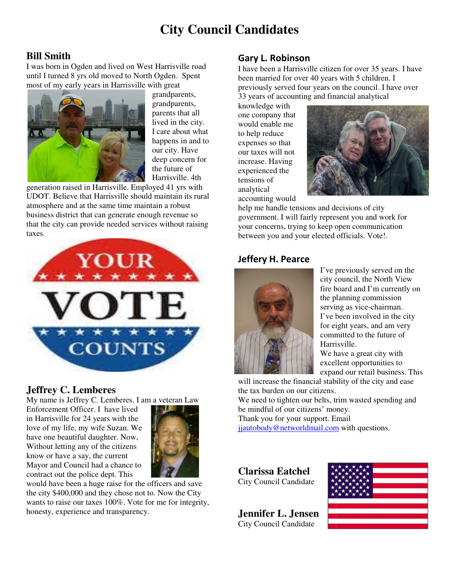## **City Council Candidates**

#### **Bill Smith**

I was born in Ogden and lived on West Harrisville road until I turned 8 yrs old moved to North Ogden. Spent most of my early years in Harrisville with great le with great<br>grandparents,



grandparents, grandparents, parents that all lived in the city. I care ab care about what happens in and to our city. Have deep concern for the future of Harrisville. 4th 4th

generation raised in Harrisville. Employed 41 yrs with UDOT. Believe that Harrisville should maintain its rural atmosphere and at the same time maintain a robust business district that can generate enough revenue so that the city can provide needed services without raising taxes.



#### **Jeffrey C. Lemberes**

My name is Jeffrey C. Lemberes. I am a veteran Law

Enforcement Officer. I have lived in Harrisville for 24 years with the love of my life, my wife Suzan. We have one beautiful daughter. Now, Without letting any of the citizens know or have a say, the current Mayor and Council had a chance to contract out the police dept. This



would have been a huge raise for the officers and save the city \$400,000 and they chose not to. Now the City wants to raise our taxes 100%. Vote for me for integrity, honesty, experience and transparency.

#### Gary L. Robinson

I have been a Harrisville citizen for over 35 years. I have been married for over 40 years with 5 children. I previously served four years on the council. I have over 33 years of accounting and financial analytical

knowledge with one company that would enable me to help reduce expenses so that our taxes will not increase. Having experienced the tensions of analytical accounting would



help me handle tensions and decisions of city government. I will fairly represent you and work for your concerns, trying to keep open communication between you and your elected officials. Vote!.

#### Jeffery H. Pearce



I've previously served on the city council, the North View fire board and I'm currently on the planning commission serving as vice-chairman. I've been involved in the city for eight years, and am very<br>committed to the future of<br>Harrisville. committed to the future of Harrisville.

We have a great city with excellent opportunities to expand our retail business. This

will increase the financial stability of the city and ease the tax burden on our citizens.

We need to tighten our belts, trim wasted spending and be mindful of our citizens' money. expand our retail busin<br>will increase the financial stability of the city are<br>the tax burden on our citizens.<br>We need to tighten our belts, trim wasted spend<br>be mindful of our citizens' money.<br>Thank you for your support. E

Thank you for your support. Email jiautobody@networldmail.com with questions.

**Clarissa Eatchel**  City Council Candidate

**Jennifer L. Jensen**  City Council Candidate